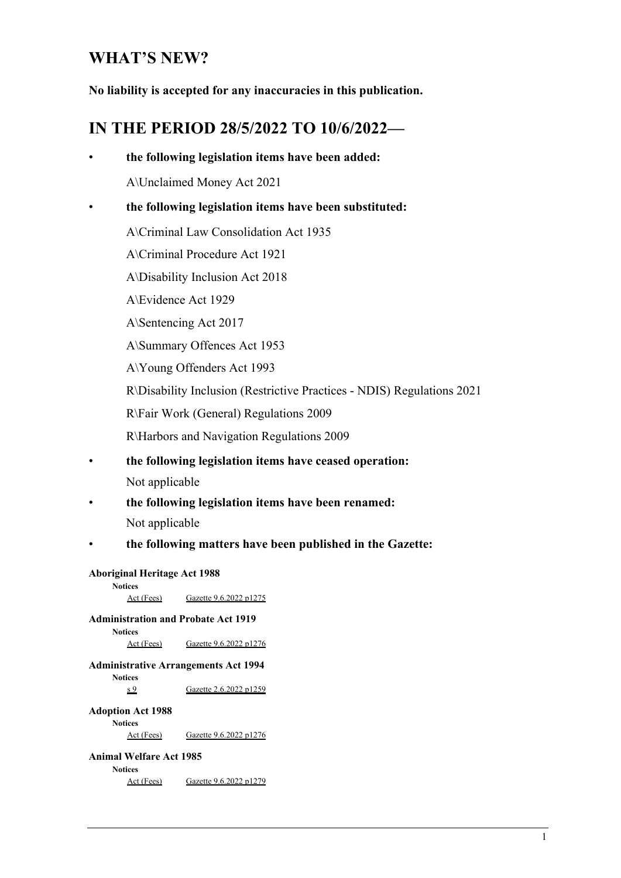# **WHAT'S NEW?**

**No liability is accepted for any inaccuracies in this publication.** 

# **IN THE PERIOD 28/5/2022 TO 10/6/2022—**

|                                             | the following legislation items have been added:       |                                                                        |  |  |  |
|---------------------------------------------|--------------------------------------------------------|------------------------------------------------------------------------|--|--|--|
|                                             |                                                        | A\Unclaimed Money Act 2021                                             |  |  |  |
|                                             | the following legislation items have been substituted: |                                                                        |  |  |  |
|                                             | A\Criminal Law Consolidation Act 1935                  |                                                                        |  |  |  |
|                                             |                                                        | A\Criminal Procedure Act 1921                                          |  |  |  |
|                                             |                                                        | A\Disability Inclusion Act 2018                                        |  |  |  |
|                                             |                                                        | A\Evidence Act 1929                                                    |  |  |  |
|                                             |                                                        | A\Sentencing Act 2017                                                  |  |  |  |
|                                             |                                                        | A\Summary Offences Act 1953                                            |  |  |  |
|                                             |                                                        | A\Young Offenders Act 1993                                             |  |  |  |
|                                             |                                                        | R\Disability Inclusion (Restrictive Practices - NDIS) Regulations 2021 |  |  |  |
|                                             |                                                        | R\Fair Work (General) Regulations 2009                                 |  |  |  |
|                                             |                                                        | R\Harbors and Navigation Regulations 2009                              |  |  |  |
|                                             |                                                        | the following legislation items have ceased operation:                 |  |  |  |
|                                             | Not applicable                                         |                                                                        |  |  |  |
|                                             |                                                        | the following legislation items have been renamed:                     |  |  |  |
|                                             | Not applicable                                         |                                                                        |  |  |  |
|                                             |                                                        | the following matters have been published in the Gazette:              |  |  |  |
|                                             | <b>Aboriginal Heritage Act 1988</b>                    |                                                                        |  |  |  |
|                                             | <b>Notices</b><br>Act (Fees)                           | Gazette 9.6.2022 p1275                                                 |  |  |  |
|                                             |                                                        | <b>Administration and Probate Act 1919</b>                             |  |  |  |
|                                             | <b>Notices</b><br>Act (Fees)                           | Gazette 9.6.2022 p1276                                                 |  |  |  |
| <b>Administrative Arrangements Act 1994</b> |                                                        |                                                                        |  |  |  |
|                                             | <b>Notices</b><br>s <sub>9</sub>                       | Gazette 2.6.2022 p1259                                                 |  |  |  |
|                                             | <b>Adoption Act 1988</b>                               |                                                                        |  |  |  |
|                                             | <b>Notices</b><br>Act (Fees)                           | Gazette 9.6.2022 p1276                                                 |  |  |  |
|                                             | <b>Animal Welfare Act 1985</b>                         |                                                                        |  |  |  |
|                                             | <b>Notices</b><br>Act (Fees)                           | Gazette 9.6.2022 p1279                                                 |  |  |  |
|                                             |                                                        |                                                                        |  |  |  |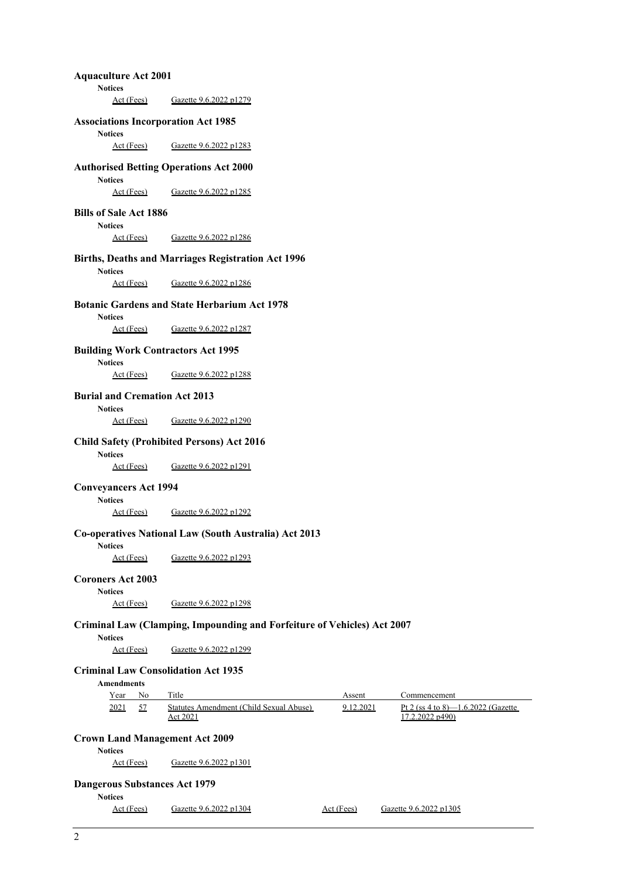**Aquaculture Act 2001 Notices**  Act (Fees) Gazette 9.6.2022 p1279 **Associations Incorporation Act 1985 Notices**  Act (Fees) Gazette 9.6.2022 p1283 **Authorised Betting Operations Act 2000 Notices**  Act (Fees) Gazette 9.6.2022 p1285 **Bills of Sale Act 1886 Notices**  Act (Fees) Gazette 9.6.2022 p1286 **Births, Deaths and Marriages Registration Act 1996 Notices**  Act (Fees) Gazette 9.6.2022 p1286 **Botanic Gardens and State Herbarium Act 1978 Notices**  Act (Fees) Gazette 9.6.2022 p1287 **Building Work Contractors Act 1995 Notices**  Act (Fees) Gazette 9.6.2022 p1288 **Burial and Cremation Act 2013 Notices**  Act (Fees) Gazette 9.6.2022 p1290 **Child Safety (Prohibited Persons) Act 2016 Notices**  Act (Fees) Gazette 9.6.2022 p1291 **Conveyancers Act 1994 Notices**  Act (Fees) Gazette 9.6.2022 p1292 **Co-operatives National Law (South Australia) Act 2013 Notices**  Act (Fees) Gazette 9.6.2022 p1293 **Coroners Act 2003 Notices**  Act (Fees) Gazette 9.6.2022 p1298 **Criminal Law (Clamping, Impounding and Forfeiture of Vehicles) Act 2007 Notices**  Act (Fees) Gazette 9.6.2022 p1299 **Criminal Law Consolidation Act 1935 Amendments**  Year No Title Assent Commencement 2021 57 Statutes Amendment (Child Sexual Abuse) Act 2021 9.12.2021 Pt 2 (ss 4 to 8)—1.6.2022 (Gazette **Crown Land Management Act 2009 Notices**  Act (Fees) Gazette 9.6.2022 p1301 **Dangerous Substances Act 1979 Notices** 

Act (Fees) Gazette 9.6.2022 p1304 Act (Fees) Gazette 9.6.2022 p1305

17.2.2022 p490)

2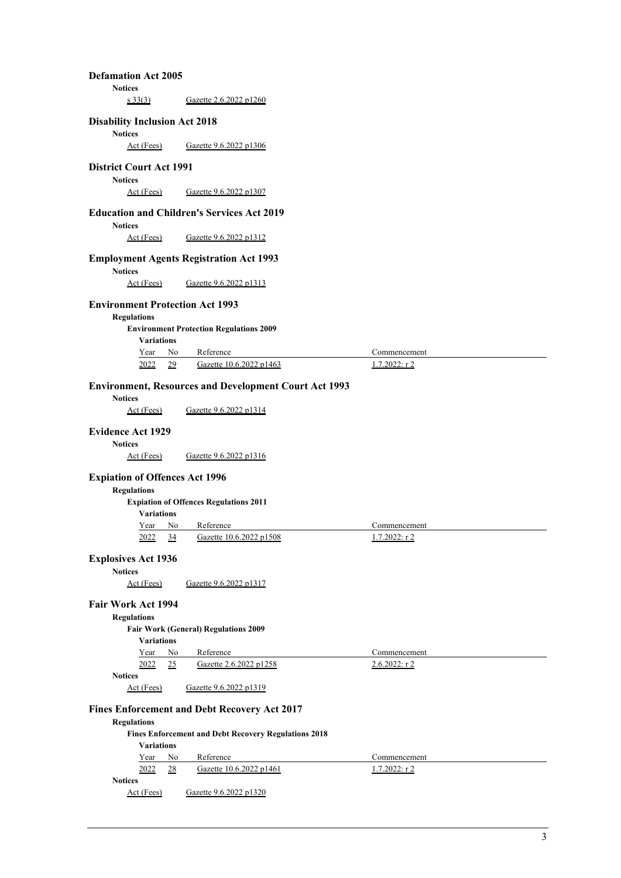| <b>Defamation Act 2005</b>                                   |                                                              |                       |  |  |  |  |
|--------------------------------------------------------------|--------------------------------------------------------------|-----------------------|--|--|--|--|
| <b>Notices</b>                                               |                                                              |                       |  |  |  |  |
| s33(3)                                                       | Gazette 2.6.2022 p1260                                       |                       |  |  |  |  |
| <b>Disability Inclusion Act 2018</b><br><b>Notices</b>       |                                                              |                       |  |  |  |  |
| Act (Fees)                                                   | Gazette 9.6.2022 p1306                                       |                       |  |  |  |  |
| <b>District Court Act 1991</b><br><b>Notices</b>             |                                                              |                       |  |  |  |  |
| Act (Fees)                                                   | Gazette 9.6.2022 p1307                                       |                       |  |  |  |  |
| <b>Notices</b>                                               | <b>Education and Children's Services Act 2019</b>            |                       |  |  |  |  |
| Act (Fees)                                                   | Gazette 9.6.2022 p1312                                       |                       |  |  |  |  |
| <b>Notices</b>                                               | <b>Employment Agents Registration Act 1993</b>               |                       |  |  |  |  |
| Act (Fees)                                                   | Gazette 9.6.2022 p1313                                       |                       |  |  |  |  |
|                                                              |                                                              |                       |  |  |  |  |
| <b>Environment Protection Act 1993</b><br><b>Regulations</b> |                                                              |                       |  |  |  |  |
| <b>Variations</b>                                            | <b>Environment Protection Regulations 2009</b>               |                       |  |  |  |  |
| Year<br>No                                                   | Reference                                                    | Commencement          |  |  |  |  |
| 2022<br>29                                                   | Gazette 10.6.2022 p1463                                      | $1.7.2022:$ r 2       |  |  |  |  |
| <b>Notices</b>                                               | <b>Environment, Resources and Development Court Act 1993</b> |                       |  |  |  |  |
| Act (Fees)                                                   | Gazette 9.6.2022 p1314                                       |                       |  |  |  |  |
|                                                              |                                                              |                       |  |  |  |  |
| <b>Evidence Act 1929</b>                                     |                                                              |                       |  |  |  |  |
| <b>Notices</b><br><u>Act (Fees)</u>                          | Gazette 9.6.2022 p1316                                       |                       |  |  |  |  |
|                                                              |                                                              |                       |  |  |  |  |
| <b>Expiation of Offences Act 1996</b><br><b>Regulations</b>  |                                                              |                       |  |  |  |  |
|                                                              | <b>Expiation of Offences Regulations 2011</b>                |                       |  |  |  |  |
| <b>Variations</b>                                            |                                                              |                       |  |  |  |  |
| Year<br>No                                                   | Reference                                                    | Commencement          |  |  |  |  |
| 2022<br>$\frac{34}{5}$                                       | Gazette 10.6.2022 p1508                                      | $1.7.2022:$ r 2       |  |  |  |  |
| <b>Explosives Act 1936</b>                                   |                                                              |                       |  |  |  |  |
| <b>Notices</b>                                               |                                                              |                       |  |  |  |  |
| Act (Fees)                                                   | Gazette 9.6.2022 p1317                                       |                       |  |  |  |  |
| Fair Work Act 1994<br><b>Regulations</b>                     |                                                              |                       |  |  |  |  |
|                                                              | <b>Fair Work (General) Regulations 2009</b>                  |                       |  |  |  |  |
| <b>Variations</b>                                            |                                                              |                       |  |  |  |  |
| Year<br>No                                                   | Reference                                                    | Commencement          |  |  |  |  |
| 2022<br>25<br><b>Notices</b>                                 | Gazette 2.6.2022 p1258                                       | <u> 2.6.2022: r 2</u> |  |  |  |  |
| Act (Fees)                                                   | Gazette 9.6.2022 p1319                                       |                       |  |  |  |  |
|                                                              | <b>Fines Enforcement and Debt Recovery Act 2017</b>          |                       |  |  |  |  |
| <b>Regulations</b>                                           |                                                              |                       |  |  |  |  |
| <b>Variations</b>                                            | <b>Fines Enforcement and Debt Recovery Regulations 2018</b>  |                       |  |  |  |  |
| Year<br>No                                                   | Reference                                                    | Commencement          |  |  |  |  |
| 2022<br>28                                                   | Gazette 10.6.2022 p1461                                      | $1.7.2022:$ r2        |  |  |  |  |
| <b>Notices</b><br>Act (Fees)                                 | Gazette 9.6.2022 p1320                                       |                       |  |  |  |  |
|                                                              |                                                              |                       |  |  |  |  |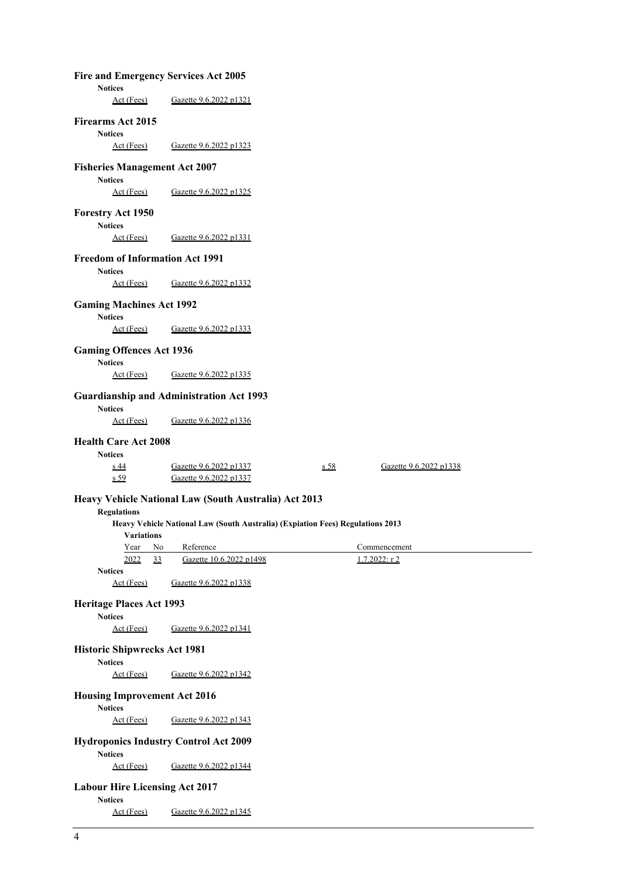| Fire and Emergency Services Act 2005                           |                                                                                |      |                                 |  |
|----------------------------------------------------------------|--------------------------------------------------------------------------------|------|---------------------------------|--|
| <b>Notices</b><br>Act (Fees)                                   | Gazette 9.6.2022 p1321                                                         |      |                                 |  |
| <b>Firearms Act 2015</b><br><b>Notices</b>                     |                                                                                |      |                                 |  |
| Act (Fees)                                                     | Gazette 9.6.2022 p1323                                                         |      |                                 |  |
| <b>Fisheries Management Act 2007</b><br><b>Notices</b>         |                                                                                |      |                                 |  |
| Act (Fees)                                                     | Gazette 9.6.2022 p1325                                                         |      |                                 |  |
| <b>Forestry Act 1950</b><br><b>Notices</b>                     |                                                                                |      |                                 |  |
| Act (Fees)                                                     | Gazette 9.6.2022 p1331                                                         |      |                                 |  |
| <b>Freedom of Information Act 1991</b><br><b>Notices</b>       |                                                                                |      |                                 |  |
| Act (Fees)                                                     | Gazette 9.6.2022 p1332                                                         |      |                                 |  |
| <b>Gaming Machines Act 1992</b><br><b>Notices</b>              |                                                                                |      |                                 |  |
| Act (Fees)                                                     | Gazette 9.6.2022 p1333                                                         |      |                                 |  |
| <b>Gaming Offences Act 1936</b><br><b>Notices</b>              |                                                                                |      |                                 |  |
| Act (Fees)                                                     | Gazette 9.6.2022 p1335                                                         |      |                                 |  |
| <b>Notices</b>                                                 | <b>Guardianship and Administration Act 1993</b>                                |      |                                 |  |
| Act (Fees)                                                     | Gazette 9.6.2022 p1336                                                         |      |                                 |  |
|                                                                |                                                                                |      |                                 |  |
| <b>Health Care Act 2008</b>                                    |                                                                                |      |                                 |  |
| <b>Notices</b><br>$s$ 44<br>s <sub>59</sub>                    | Gazette 9.6.2022 p1337<br>Gazette 9.6.2022 p1337                               | s 58 | Gazette 9.6.2022 p1338          |  |
|                                                                | Heavy Vehicle National Law (South Australia) Act 2013                          |      |                                 |  |
| <b>Regulations</b>                                             |                                                                                |      |                                 |  |
| <b>Variations</b>                                              | Heavy Vehicle National Law (South Australia) (Expiation Fees) Regulations 2013 |      |                                 |  |
| No<br>Year<br>2022<br>33                                       | Reference<br>Gazette 10.6.2022 p1498                                           |      | Commencement<br>$1.7.2022:$ r 2 |  |
| <b>Notices</b><br>Act (Fees)                                   | Gazette 9.6.2022 p1338                                                         |      |                                 |  |
| <b>Heritage Places Act 1993</b>                                |                                                                                |      |                                 |  |
| <b>Notices</b><br>Act (Fees)                                   | Gazette 9.6.2022 p1341                                                         |      |                                 |  |
| <b>Historic Shipwrecks Act 1981</b>                            |                                                                                |      |                                 |  |
| <b>Notices</b><br>Act (Fees)                                   | Gazette 9.6.2022 p1342                                                         |      |                                 |  |
| <b>Housing Improvement Act 2016</b>                            |                                                                                |      |                                 |  |
| <b>Notices</b><br>Act (Fees)                                   | Gazette 9.6.2022 p1343                                                         |      |                                 |  |
| <b>Hydroponics Industry Control Act 2009</b><br><b>Notices</b> |                                                                                |      |                                 |  |
| Act (Fees)                                                     | Gazette 9.6.2022 p1344                                                         |      |                                 |  |
| <b>Labour Hire Licensing Act 2017</b><br><b>Notices</b>        |                                                                                |      |                                 |  |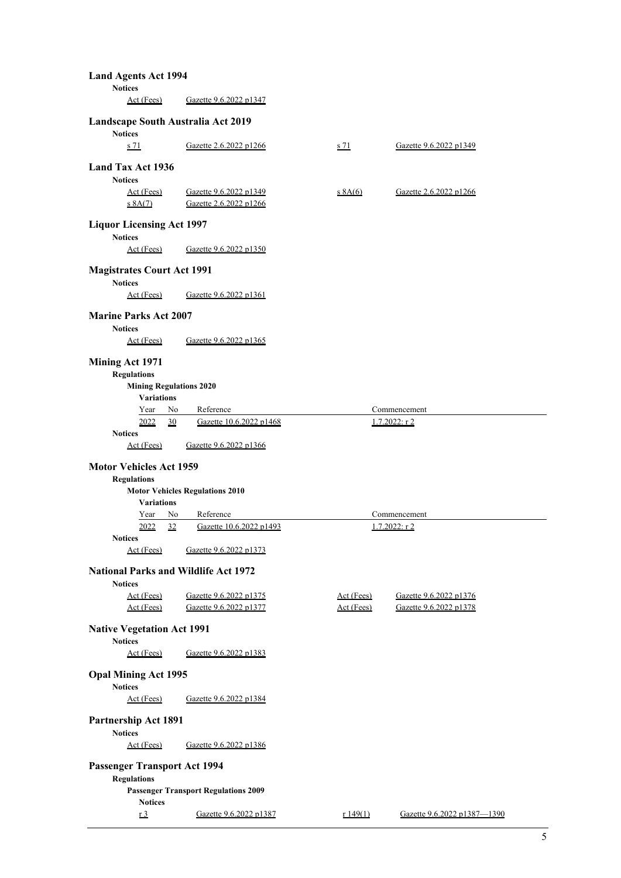| <b>Land Agents Act 1994</b>                                       |                                                  |             |                        |  |  |  |
|-------------------------------------------------------------------|--------------------------------------------------|-------------|------------------------|--|--|--|
| <b>Notices</b><br>Act (Fees)                                      | Gazette 9.6.2022 p1347                           |             |                        |  |  |  |
|                                                                   |                                                  |             |                        |  |  |  |
| Landscape South Australia Act 2019<br><b>Notices</b>              |                                                  |             |                        |  |  |  |
| s <sub>71</sub>                                                   | Gazette 2.6.2022 p1266                           | <u>s 71</u> | Gazette 9.6.2022 p1349 |  |  |  |
| Land Tax Act 1936                                                 |                                                  |             |                        |  |  |  |
| <b>Notices</b>                                                    |                                                  |             |                        |  |  |  |
| <u>Act (Fees)</u><br>$s$ 8A $(7)$                                 | Gazette 9.6.2022 p1349<br>Gazette 2.6.2022 p1266 | $s$ 8A(6)   | Gazette 2.6.2022 p1266 |  |  |  |
| <b>Liquor Licensing Act 1997</b>                                  |                                                  |             |                        |  |  |  |
| <b>Notices</b><br>Act (Fees)                                      | Gazette 9.6.2022 p1350                           |             |                        |  |  |  |
| <b>Magistrates Court Act 1991</b>                                 |                                                  |             |                        |  |  |  |
| <b>Notices</b><br>Act (Fees)                                      | Gazette 9.6.2022 p1361                           |             |                        |  |  |  |
| <b>Marine Parks Act 2007</b>                                      |                                                  |             |                        |  |  |  |
| <b>Notices</b><br>Act (Fees)                                      | Gazette 9.6.2022 p1365                           |             |                        |  |  |  |
| Mining Act 1971                                                   |                                                  |             |                        |  |  |  |
| <b>Regulations</b>                                                |                                                  |             |                        |  |  |  |
| <b>Mining Regulations 2020</b><br><b>Variations</b>               |                                                  |             |                        |  |  |  |
| Year<br>No                                                        | Reference                                        |             | Commencement           |  |  |  |
| 2022<br>30<br><b>Notices</b>                                      | Gazette 10.6.2022 p1468                          |             | $1.7.2022:$ r2         |  |  |  |
| Act (Fees)                                                        | Gazette 9.6.2022 p1366                           |             |                        |  |  |  |
| <b>Motor Vehicles Act 1959</b>                                    |                                                  |             |                        |  |  |  |
| <b>Regulations</b>                                                |                                                  |             |                        |  |  |  |
| <b>Variations</b>                                                 | <b>Motor Vehicles Regulations 2010</b>           |             |                        |  |  |  |
| Year<br>No                                                        | Reference                                        |             | Commencement           |  |  |  |
| 2022<br>32                                                        | Gazette 10.6.2022 p1493                          |             | $1.7.2022:$ r 2        |  |  |  |
| <b>Notices</b><br>Act (Fees)                                      | Gazette 9.6.2022 p1373                           |             |                        |  |  |  |
| <b>National Parks and Wildlife Act 1972</b><br><b>Notices</b>     |                                                  |             |                        |  |  |  |
| Act (Fees)                                                        | Gazette 9.6.2022 p1375                           | Act (Fees)  | Gazette 9.6.2022 p1376 |  |  |  |
| Act (Fees)                                                        | Gazette 9.6.2022 p1377                           | Act (Fees)  | Gazette 9.6.2022 p1378 |  |  |  |
| <b>Native Vegetation Act 1991</b><br><b>Notices</b>               |                                                  |             |                        |  |  |  |
| Act (Fees)                                                        | Gazette 9.6.2022 p1383                           |             |                        |  |  |  |
| <b>Opal Mining Act 1995</b><br><b>Notices</b>                     |                                                  |             |                        |  |  |  |
| Act (Fees)                                                        | Gazette 9.6.2022 p1384                           |             |                        |  |  |  |
| <b>Partnership Act 1891</b><br><b>Notices</b>                     |                                                  |             |                        |  |  |  |
| Act (Fees)                                                        | Gazette 9.6.2022 p1386                           |             |                        |  |  |  |
| <b>Passenger Transport Act 1994</b>                               |                                                  |             |                        |  |  |  |
| <b>Regulations</b><br><b>Passenger Transport Regulations 2009</b> |                                                  |             |                        |  |  |  |
| <b>Notices</b>                                                    |                                                  |             |                        |  |  |  |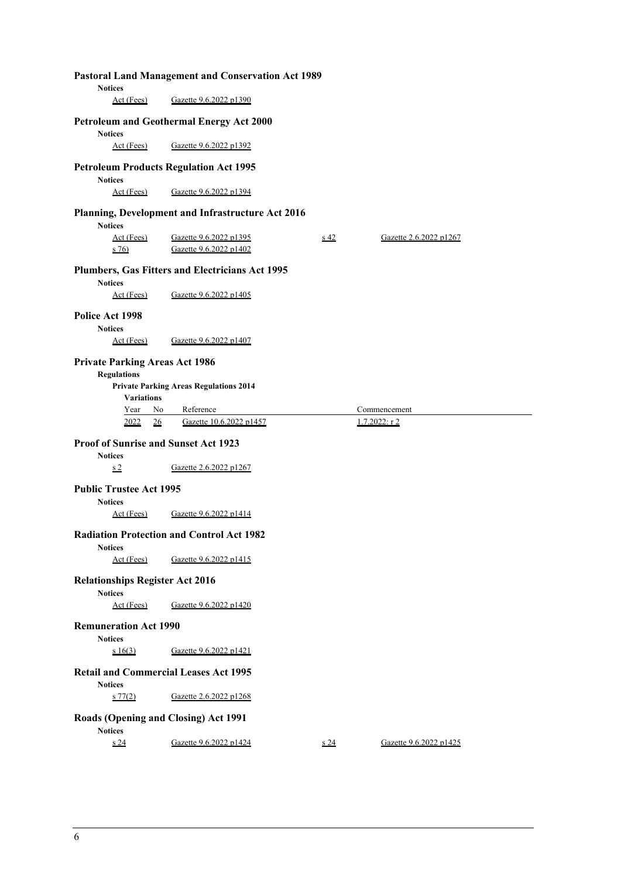| <b>Pastoral Land Management and Conservation Act 1989</b>         |                                                   |               |                                 |  |  |  |  |
|-------------------------------------------------------------------|---------------------------------------------------|---------------|---------------------------------|--|--|--|--|
| <b>Notices</b><br>Act (Fees)                                      | Gazette 9.6.2022 p1390                            |               |                                 |  |  |  |  |
| <b>Petroleum and Geothermal Energy Act 2000</b><br><b>Notices</b> |                                                   |               |                                 |  |  |  |  |
| Act (Fees)<br>Gazette 9.6.2022 p1392                              |                                                   |               |                                 |  |  |  |  |
| <b>Petroleum Products Regulation Act 1995</b><br><b>Notices</b>   |                                                   |               |                                 |  |  |  |  |
| Act (Fees)                                                        | Gazette 9.6.2022 p1394                            |               |                                 |  |  |  |  |
| <b>Notices</b>                                                    | Planning, Development and Infrastructure Act 2016 |               |                                 |  |  |  |  |
| Act (Fees)<br>$s\,76$                                             | Gazette 9.6.2022 p1395<br>Gazette 9.6.2022 p1402  | $\frac{1}{2}$ | Gazette 2.6.2022 p1267          |  |  |  |  |
| <b>Notices</b>                                                    | Plumbers, Gas Fitters and Electricians Act 1995   |               |                                 |  |  |  |  |
| Act (Fees)                                                        | Gazette 9.6.2022 p1405                            |               |                                 |  |  |  |  |
| Police Act 1998<br><b>Notices</b>                                 |                                                   |               |                                 |  |  |  |  |
| Act (Fees)                                                        | Gazette 9.6.2022 p1407                            |               |                                 |  |  |  |  |
| <b>Private Parking Areas Act 1986</b><br><b>Regulations</b>       | <b>Private Parking Areas Regulations 2014</b>     |               |                                 |  |  |  |  |
| <b>Variations</b>                                                 |                                                   |               |                                 |  |  |  |  |
|                                                                   |                                                   |               |                                 |  |  |  |  |
| Year<br>No<br>2022<br>26                                          | Reference<br>Gazette 10.6.2022 p1457              |               | Commencement<br>$1.7.2022:$ r 2 |  |  |  |  |
|                                                                   |                                                   |               |                                 |  |  |  |  |
| <b>Proof of Sunrise and Sunset Act 1923</b><br><b>Notices</b>     |                                                   |               |                                 |  |  |  |  |
| s <sub>2</sub>                                                    | Gazette 2.6.2022 p1267                            |               |                                 |  |  |  |  |
| <b>Public Trustee Act 1995</b>                                    |                                                   |               |                                 |  |  |  |  |
| <b>Notices</b><br>Act (Fees)                                      | Gazette 9.6.2022 p1414                            |               |                                 |  |  |  |  |
| <b>Notices</b>                                                    | <b>Radiation Protection and Control Act 1982</b>  |               |                                 |  |  |  |  |
| Act (Fees)                                                        | Gazette 9.6.2022 p1415                            |               |                                 |  |  |  |  |
| <b>Relationships Register Act 2016</b><br><b>Notices</b>          |                                                   |               |                                 |  |  |  |  |
| Act (Fees)                                                        | Gazette 9.6.2022 p1420                            |               |                                 |  |  |  |  |
| <b>Remuneration Act 1990</b><br><b>Notices</b>                    |                                                   |               |                                 |  |  |  |  |
| s 16(3)                                                           | Gazette 9.6.2022 p1421                            |               |                                 |  |  |  |  |
| <b>Retail and Commercial Leases Act 1995</b><br><b>Notices</b>    |                                                   |               |                                 |  |  |  |  |
| $s \, 77(2)$                                                      | Gazette 2.6.2022 p1268                            |               |                                 |  |  |  |  |
| <b>Roads (Opening and Closing) Act 1991</b><br><b>Notices</b>     |                                                   |               |                                 |  |  |  |  |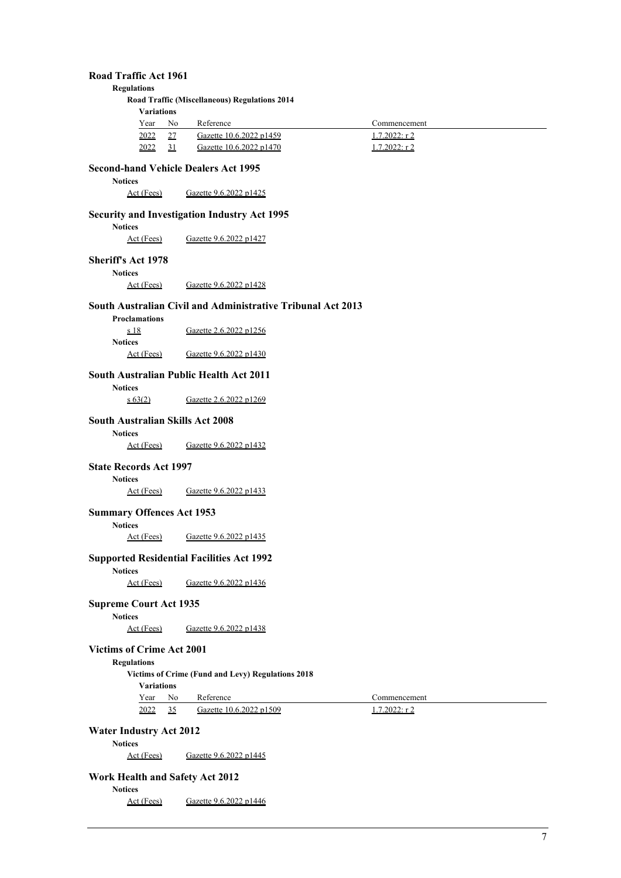## **Road Traffic Act 1961**

**Regulations** 

**Road Traffic (Miscellaneous) Regulations 2014 Variati** 

| v ariauons    |      |                         |                 |  |
|---------------|------|-------------------------|-----------------|--|
| Year          | - No | Reference               | Commencement    |  |
| <u> 2022 </u> | 27   | Gazette 10.6.2022 p1459 | $1.7.2022:$ r 2 |  |
| 2022          |      | Gazette 10.6.2022 p1470 | 1.7.2022: r 2   |  |

# **Second-hand Vehicle Dealers Act 1995**

**Notices** 

Act (Fees) Gazette 9.6.2022 p1425

## **Security and Investigation Industry Act 1995**

Notices<br>Act (Fees)

Gazette 9.6.2022 p1427

# **Sheriff's Act 1978**

**Notices** 

Act (Fees) Gazette 9.6.2022 p1428

## **South Australian Civil and Administrative Tribunal Act 2013**

| <b>Proclamations</b> |                        |
|----------------------|------------------------|
| <u>s 18</u>          | Gazette 2.6.2022 p1256 |
| <b>Notices</b>       |                        |
| Act (Fees)           | Gazette 9.6.2022 p1430 |

## **South Australian Public Health Act 2011**

**Notices**  s 63(2) Gazette 2.6.2022 p1269

#### **South Australian Skills Act 2008**

**Notices** 

Act (Fees) Gazette 9.6.2022 p1432

### **State Records Act 1997**

**Notices** 

Act (Fees) Gazette 9.6.2022 p1433

# **Summary Offences Act 1953**

**Notices** 

Act (Fees) Gazette 9.6.2022 p1435

#### **Supported Residential Facilities Act 1992**

**Notices** 

Act (Fees) Gazette 9.6.2022 p1436

## **Supreme Court Act 1935**

**Notices** 

Act (Fees) Gazette 9.6.2022 p1438

## **Victims of Crime Act 2001**

**Regulations** 

**Victims of Crime (Fund and Levy) Regulations 2018** 

**Variations** 

Year No Reference Commencement

2022 35 Gazette 10.6.2022 p1509 1.7.2022: r 2

**Water Industry Act 2012** 

**Notices** 

Act (Fees) Gazette 9.6.2022 p1445

## **Work Health and Safety Act 2012**

**Notices** 

Act (Fees) Gazette 9.6.2022 p1446